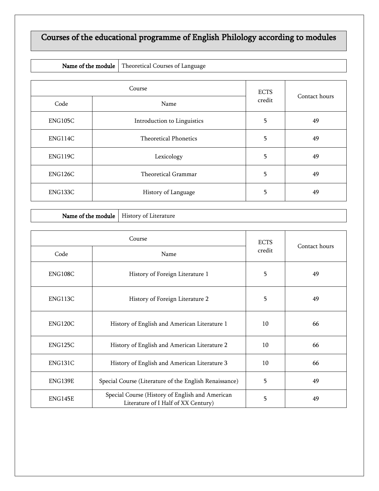## Courses of the educational programme of English Philology according to modules

|  | Name of the module   Theoretical Courses of Language |
|--|------------------------------------------------------|
|--|------------------------------------------------------|

|         | Course                      |        | Contact hours |
|---------|-----------------------------|--------|---------------|
| Code    | Name                        | credit |               |
| ENG105C | Introduction to Linguistics | 5      | 49            |
| ENG114C | Theoretical Phonetics       | 5      | 49            |
| ENG119C | Lexicology                  | 5      | 49            |
| ENG126C | Theoretical Grammar         | 5      | 49            |
| ENG133C | History of Language         | 5      | 49            |

| Name of the module   History of Literature |  |
|--------------------------------------------|--|
|--------------------------------------------|--|

|                | Course                                                                                 |        |               |
|----------------|----------------------------------------------------------------------------------------|--------|---------------|
| Code           | Name                                                                                   | credit | Contact hours |
| ENG108C        | History of Foreign Literature 1                                                        | 5      |               |
| ENG113C        | History of Foreign Literature 2                                                        | 5      | 49            |
| <b>ENG120C</b> | 10<br>History of English and American Literature 1                                     |        | 66            |
| ENG125C        | History of English and American Literature 2                                           | 10     |               |
| ENG131C        | History of English and American Literature 3                                           | 10     |               |
| ENG139E        | Special Course (Literature of the English Renaissance)                                 | 5      | 49            |
| ENG145E        | Special Course (History of English and American<br>Literature of I Half of XX Century) | 5      | 49            |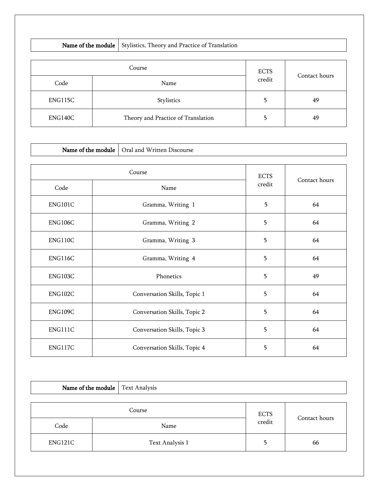| Name of the module |  | Stylistics, Theory and Practice of Translation |        |               |
|--------------------|--|------------------------------------------------|--------|---------------|
| Course             |  | <b>ECTS</b>                                    |        |               |
| Code               |  | Name                                           | credit | Contact hours |
| ENG115C            |  | Stylistics                                     | 5      | 49            |
| ENG140C            |  | Theory and Practice of Translation             | 5      | 49            |

| Name of the module<br>Oral and Written Discourse |                   |                              |             |               |
|--------------------------------------------------|-------------------|------------------------------|-------------|---------------|
|                                                  |                   |                              |             |               |
|                                                  |                   | Course                       | <b>ECTS</b> | Contact hours |
| Code                                             |                   | Name                         | credit      |               |
| ENG101C                                          |                   | Gramma, Writing 1            | 5           | 64            |
| ENG106C                                          |                   | Gramma, Writing 2            | 5           | 64            |
| ENG110C                                          |                   | Gramma, Writing 3            |             | 64            |
| ENG116C                                          | Gramma, Writing 4 |                              | 5           | 64            |
| ENG103C                                          | Phonetics         |                              | 5           | 49            |
| ENG102C                                          |                   | Conversation Skills, Topic 1 |             | 64            |
| ENG109C                                          |                   | Conversation Skills, Topic 2 |             | 64            |
| ENG111C                                          |                   | Conversation Skills, Topic 3 |             | 64            |
| ENG117C                                          |                   | Conversation Skills, Topic 4 | 5           | 64            |

| <b>Name of the module</b> Text Analysis |                 |             |               |
|-----------------------------------------|-----------------|-------------|---------------|
|                                         |                 |             |               |
| Course                                  |                 | <b>ECTS</b> |               |
| Code                                    | Name            | credit      | Contact hours |
| ENG121C                                 | Text Analysis 1 |             | 66            |